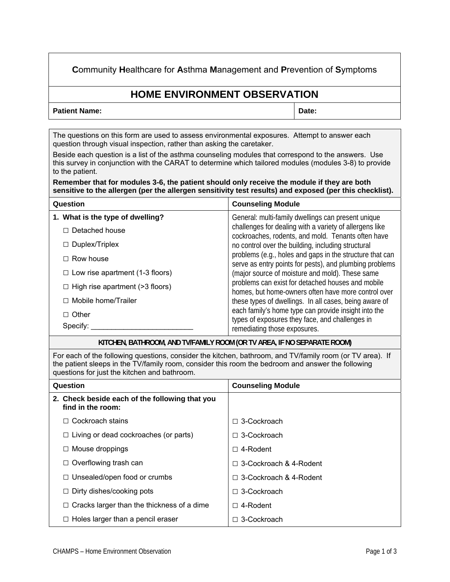**C**ommunity **H**ealthcare for **A**sthma **M**anagement and **P**revention of **S**ymptoms

## **HOME ENVIRONMENT OBSERVATION**

## **Patient Name:**  $\qquad \qquad$  Date:

The questions on this form are used to assess environmental exposures. Attempt to answer each question through visual inspection, rather than asking the caretaker.

Beside each question is a list of the asthma counseling modules that correspond to the answers. Use this survey in conjunction with the CARAT to determine which tailored modules (modules 3-8) to provide to the patient.

**Remember that for modules 3-6, the patient should only receive the module if they are both sensitive to the allergen (per the allergen sensitivity test results) and exposed (per this checklist).** 

| Question                               | <b>Counseling Module</b>                                                                                                                                                                                                                                                                                                                                                                                                                                                                                                                                                                                                                                                                                             |
|----------------------------------------|----------------------------------------------------------------------------------------------------------------------------------------------------------------------------------------------------------------------------------------------------------------------------------------------------------------------------------------------------------------------------------------------------------------------------------------------------------------------------------------------------------------------------------------------------------------------------------------------------------------------------------------------------------------------------------------------------------------------|
| 1. What is the type of dwelling?       | General: multi-family dwellings can present unique<br>challenges for dealing with a variety of allergens like<br>cockroaches, rodents, and mold. Tenants often have<br>no control over the building, including structural<br>problems (e.g., holes and gaps in the structure that can<br>serve as entry points for pests), and plumbing problems<br>(major source of moisture and mold). These same<br>problems can exist for detached houses and mobile<br>homes, but home-owners often have more control over<br>these types of dwellings. In all cases, being aware of<br>each family's home type can provide insight into the<br>types of exposures they face, and challenges in<br>remediating those exposures. |
| $\Box$ Detached house                  |                                                                                                                                                                                                                                                                                                                                                                                                                                                                                                                                                                                                                                                                                                                      |
| $\Box$ Duplex/Triplex                  |                                                                                                                                                                                                                                                                                                                                                                                                                                                                                                                                                                                                                                                                                                                      |
| $\Box$ Row house                       |                                                                                                                                                                                                                                                                                                                                                                                                                                                                                                                                                                                                                                                                                                                      |
| $\Box$ Low rise apartment (1-3 floors) |                                                                                                                                                                                                                                                                                                                                                                                                                                                                                                                                                                                                                                                                                                                      |
| $\Box$ High rise apartment (>3 floors) |                                                                                                                                                                                                                                                                                                                                                                                                                                                                                                                                                                                                                                                                                                                      |
| $\Box$ Mobile home/Trailer             |                                                                                                                                                                                                                                                                                                                                                                                                                                                                                                                                                                                                                                                                                                                      |
| $\Box$ Other<br>Specify:               |                                                                                                                                                                                                                                                                                                                                                                                                                                                                                                                                                                                                                                                                                                                      |

**KITCHEN, BATHROOM, AND TV/FAMILY ROOM (OR TV AREA, IF NO SEPARATE ROOM)**

For each of the following questions, consider the kitchen, bathroom, and TV/family room (or TV area). If the patient sleeps in the TV/family room, consider this room the bedroom and answer the following questions for just the kitchen and bathroom.

| Question                                                            | <b>Counseling Module</b>      |
|---------------------------------------------------------------------|-------------------------------|
| 2. Check beside each of the following that you<br>find in the room: |                               |
| Cockroach stains<br>П                                               | $\Box$ 3-Cockroach            |
| $\Box$ Living or dead cockroaches (or parts)                        | $\Box$ 3-Cockroach            |
| $\Box$ Mouse droppings                                              | $\Box$ 4-Rodent               |
| $\Box$ Overflowing trash can                                        | $\Box$ 3-Cockroach & 4-Rodent |
| $\Box$ Unsealed/open food or crumbs                                 | $\Box$ 3-Cockroach & 4-Rodent |
| $\Box$ Dirty dishes/cooking pots                                    | 3-Cockroach<br>П              |
| $\Box$ Cracks larger than the thickness of a dime                   | 4-Rodent<br>п                 |
| $\Box$ Holes larger than a pencil eraser                            | 3-Cockroach                   |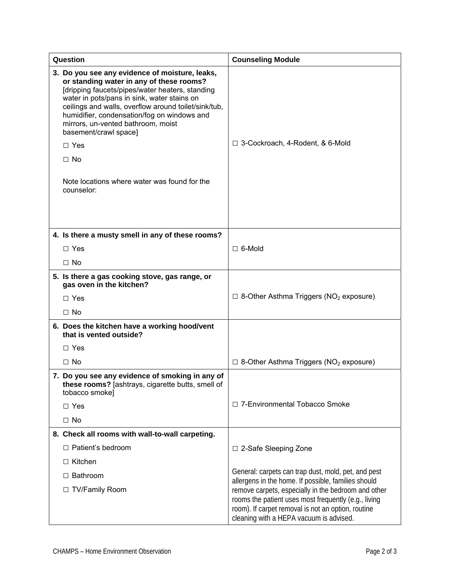| Question                                                                                                                                                                                                                                                                                                                                                                                                                                                    | <b>Counseling Module</b>                                                                                                                                                                                     |
|-------------------------------------------------------------------------------------------------------------------------------------------------------------------------------------------------------------------------------------------------------------------------------------------------------------------------------------------------------------------------------------------------------------------------------------------------------------|--------------------------------------------------------------------------------------------------------------------------------------------------------------------------------------------------------------|
| 3. Do you see any evidence of moisture, leaks,<br>or standing water in any of these rooms?<br>[dripping faucets/pipes/water heaters, standing<br>water in pots/pans in sink, water stains on<br>ceilings and walls, overflow around toilet/sink/tub,<br>humidifier, condensation/fog on windows and<br>mirrors, un-vented bathroom, moist<br>basement/crawl space]<br>$\Box$ Yes<br>$\Box$ No<br>Note locations where water was found for the<br>counselor: | □ 3-Cockroach, 4-Rodent, & 6-Mold                                                                                                                                                                            |
|                                                                                                                                                                                                                                                                                                                                                                                                                                                             |                                                                                                                                                                                                              |
| 4. Is there a musty smell in any of these rooms?                                                                                                                                                                                                                                                                                                                                                                                                            |                                                                                                                                                                                                              |
| $\Box$ Yes                                                                                                                                                                                                                                                                                                                                                                                                                                                  | $\Box$ 6-Mold                                                                                                                                                                                                |
| $\Box$ No                                                                                                                                                                                                                                                                                                                                                                                                                                                   |                                                                                                                                                                                                              |
| 5. Is there a gas cooking stove, gas range, or<br>gas oven in the kitchen?                                                                                                                                                                                                                                                                                                                                                                                  |                                                                                                                                                                                                              |
| $\Box$ Yes                                                                                                                                                                                                                                                                                                                                                                                                                                                  | $\Box$ 8-Other Asthma Triggers (NO <sub>2</sub> exposure)                                                                                                                                                    |
| $\Box$ No                                                                                                                                                                                                                                                                                                                                                                                                                                                   |                                                                                                                                                                                                              |
| 6. Does the kitchen have a working hood/vent<br>that is vented outside?                                                                                                                                                                                                                                                                                                                                                                                     |                                                                                                                                                                                                              |
| $\Box$ Yes                                                                                                                                                                                                                                                                                                                                                                                                                                                  |                                                                                                                                                                                                              |
| $\Box$ No                                                                                                                                                                                                                                                                                                                                                                                                                                                   | $\Box$ 8-Other Asthma Triggers (NO <sub>2</sub> exposure)                                                                                                                                                    |
| 7. Do you see any evidence of smoking in any of<br>these rooms? [ashtrays, cigarette butts, smell of<br>tobacco smoke]                                                                                                                                                                                                                                                                                                                                      |                                                                                                                                                                                                              |
| $\Box$ Yes                                                                                                                                                                                                                                                                                                                                                                                                                                                  | □ 7-Environmental Tobacco Smoke                                                                                                                                                                              |
| $\Box$ No                                                                                                                                                                                                                                                                                                                                                                                                                                                   |                                                                                                                                                                                                              |
| 8. Check all rooms with wall-to-wall carpeting.                                                                                                                                                                                                                                                                                                                                                                                                             |                                                                                                                                                                                                              |
| □ Patient's bedroom                                                                                                                                                                                                                                                                                                                                                                                                                                         | □ 2-Safe Sleeping Zone                                                                                                                                                                                       |
| $\Box$ Kitchen                                                                                                                                                                                                                                                                                                                                                                                                                                              |                                                                                                                                                                                                              |
| $\Box$ Bathroom                                                                                                                                                                                                                                                                                                                                                                                                                                             | General: carpets can trap dust, mold, pet, and pest<br>allergens in the home. If possible, families should                                                                                                   |
| □ TV/Family Room                                                                                                                                                                                                                                                                                                                                                                                                                                            | remove carpets, especially in the bedroom and other<br>rooms the patient uses most frequently (e.g., living<br>room). If carpet removal is not an option, routine<br>cleaning with a HEPA vacuum is advised. |